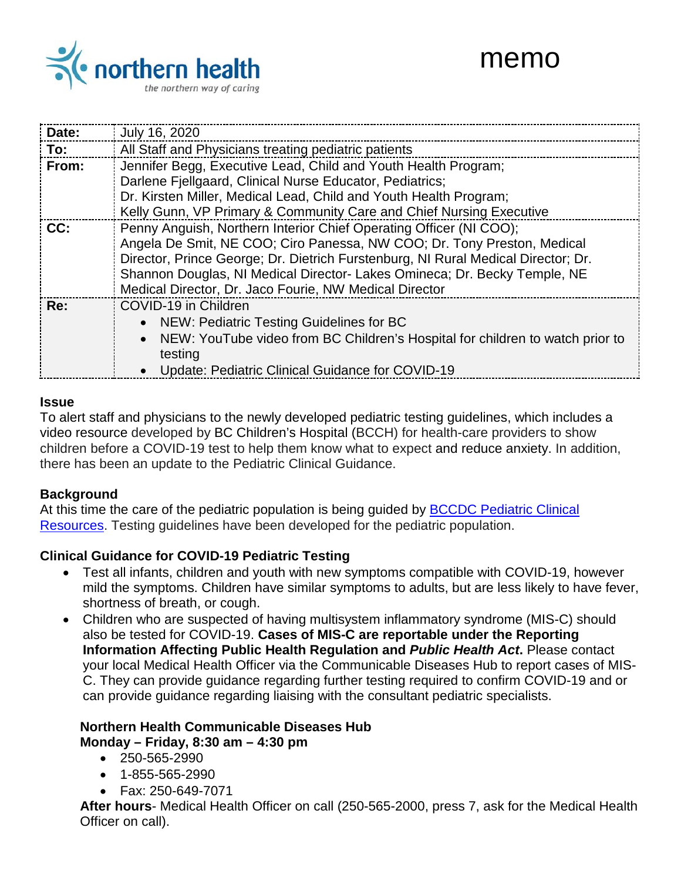



| Date: | July 16, 2020                                                                     |
|-------|-----------------------------------------------------------------------------------|
| To:   | All Staff and Physicians treating pediatric patients                              |
| From: | Jennifer Begg, Executive Lead, Child and Youth Health Program;                    |
|       | Darlene Fjellgaard, Clinical Nurse Educator, Pediatrics;                          |
|       | Dr. Kirsten Miller, Medical Lead, Child and Youth Health Program;                 |
|       | Kelly Gunn, VP Primary & Community Care and Chief Nursing Executive               |
| CC:   | Penny Anguish, Northern Interior Chief Operating Officer (NI COO);                |
|       | Angela De Smit, NE COO; Ciro Panessa, NW COO; Dr. Tony Preston, Medical           |
|       | Director, Prince George; Dr. Dietrich Furstenburg, NI Rural Medical Director; Dr. |
|       | Shannon Douglas, NI Medical Director- Lakes Omineca; Dr. Becky Temple, NE         |
|       | Medical Director, Dr. Jaco Fourie, NW Medical Director                            |
| Re:   | COVID-19 in Children                                                              |
|       | NEW: Pediatric Testing Guidelines for BC                                          |
|       | NEW: YouTube video from BC Children's Hospital for children to watch prior to     |
|       | testing                                                                           |
|       | Update: Pediatric Clinical Guidance for COVID-19                                  |

#### **Issue**

To alert staff and physicians to the newly developed pediatric testing guidelines, which includes a video resource developed by BC Children's Hospital (BCCH) for health-care providers to show children before a COVID-19 test to help them know what to expect and reduce anxiety. In addition, there has been an update to the Pediatric Clinical Guidance.

### **Background**

At this time the care of the pediatric population is being guided by **BCCDC** Pediatric Clinical [Resources.](http://www.bccdc.ca/health-professionals/clinical-resources/covid-19-care/clinical-care/pediatrics) Testing guidelines have been developed for the pediatric population.

### **Clinical Guidance for COVID-19 Pediatric Testing**

- Test all infants, children and youth with new symptoms compatible with COVID-19, however mild the symptoms. Children have similar symptoms to adults, but are less likely to have fever, shortness of breath, or cough.
- Children who are suspected of having multisystem inflammatory syndrome (MIS-C) should also be tested for COVID-19. **Cases of MIS-C are reportable under the Reporting Information Affecting Public Health Regulation and** *Public Health Act***.** Please contact your local Medical Health Officer via the Communicable Diseases Hub to report cases of MIS-C. They can provide guidance regarding further testing required to confirm COVID-19 and or can provide guidance regarding liaising with the consultant pediatric specialists.

# **Northern Health Communicable Diseases Hub**

**Monday – Friday, 8:30 am – 4:30 pm**

- 250-565-2990
- 1-855-565-2990
- Fax: 250-649-7071

**After hours**- Medical Health Officer on call (250-565-2000, press 7, ask for the Medical Health Officer on call).